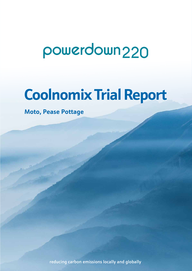# powerdown 220

## **Coolnomix Trial Report**

**Moto, Pease Pottage**

reducing carbon emissions locally and globally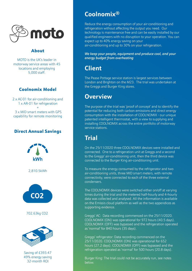

#### About

MOTO is the UK's leader in motorway service areas with 45 locations and employing 5,000 staff.

#### Coolnomix Model

2 x AC-01 for air-conditioning and 1 x AR-01 for refrigeration + 3 x MID smart meters with GPS

capability for remote monitoring

#### Direct Annual Savings



## **Coolnomix®**

Reduce the energy consumption of your air-conditioning and refrigeration without affecting the output you need. Our technology is maintenance free and can be easily installed by our qualified engineers with no disruption to your operation. You can expect up to 40% energy saving on your air-conditioning and up to 30% on your refrigeration.

*We keep your people, equipment and produce cool, and your energy budget from overheating*

## **Client**

The Pease Pottage service station is largest services between London and Brighton on the M23. The trial was undertaken at the Greggs and Burger King stores.

### **Overview**

The purpose of the trial was 'proof of concept' and to identify the potential for reducing both carbon emissions and direct energy consumption with the installation of COOLNOMIX - our unique patented intelligent thermostat, with a view to supplying and installing COOLNOMIX across the entire portfolio of motorway service stations.

## **Trial**

On the 25/11/2020 three COOLNOMIX devices were installed and connected. One to a refrigeration unit at Greggs and a second to the Greggs' air-conditioning unit, then the third device was connected to the Burger King air-conditioning unit.

To measure the energy consumed by the refrigerator and two air-conditioning units, three MID smart meters, with remote connectivity, were connected to each of the three external condensers.

The COOLNOMIX devices were switched either on/off at varying times during the trial and the metered half-hourly and 4-hourly data was collected and analysed. All the information is available on the Emissis cloud platform as well as the two appendices as supporting evidence.

Greggs' AC: Data recording commenced on the 25/11/2020. COOLNOMIX (ON) was operational for 972 hours (40.5 days). COOLNOMIX (OFF) was bypassed and the refrigeration operated as 'normal' for 840 hours (35 days).

Greggs' refrigerator: Data recording commenced on the 25/11/2020. COOLNOMIX (ON) was operational for 652 hours (27.2 days). COOLNOMIX (OFF) was bypassed and the refrigeration operated as 'normal' for 500 hours (20.8 days).

Burger King: The trial could not be accurately run, see notes below.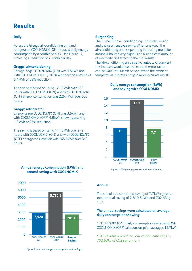## **Results**

#### **Daily**

Across the Greggs' air-conditioning unit and refrigerator, COOLNOMIX (ON) reduced daily energy consumption by a combined 49% (see Figure 1), providing a reduction of 7.7kWh per day.

#### **Greggs' air-conditioning**

Energy usage COOLNOMIX (ON) was 4.5kWh and with COOLNOMIX (OFF) 10.9kWh showing a saving of 6.4kWh or 59% reduction.

This saving is based on using 121.8kWh over 652 hours with COOLNOMIX (ON) and with COOLNOMIX (OFF) energy consumption was 226.4kWh over 500 hours.

#### **Greggs' refrigerator**

Energy usage COOLNOMIX (ON) was 3.5kWh and with COOLNOMIX (OFF) 4.8kWh showing a saving 1.3kWh or 26% reduction.

This saving is based on using 141.6kWh over 972 hours with COOLNOMIX (ON) and with COOLNOMIX (OFF) energy consumption was 165.5kWh over 840 hours.



#### **Annual energy consumption (kWh) and annual saving with COOLNOMIX**

The Burger King air-conditioning unit is very erratic and shows a negative saving. When analysed, the air-conditioning unit is operating in heating mode for around 4 hours every night using a significant amount of electricity and effecting the trial results. The air-conditioning unit is set to 'auto', to circumvent this issue we would need to set the thermostat to cool or wait until March or April when the ambient temperature improves, to gain more accurate results.



**Daily energy consumption (kWh) and saving with COOLNOMIX**

*Figure 1: Daily energy consumption and saving*

#### **Annual**

The calculated combined saving of 7.7kWh gives a total annual saving of 2,810.5kWh and 702.63kg CO2.

#### The annual savings were calculated on average daily consumption showing:

COOLNOMIX (ON) daily consumption averages 8kWh COOLNOMIX (OFF) daily consumption averages 15.7kWh

*COOLNOMIX will reduce your carbon emissions by 702.63kg of CO2 per annum*

**Burger King**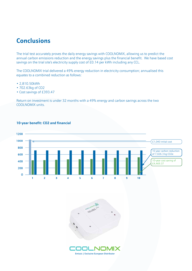### **Conclusions**

The trial test accurately proves the daily energy savings with COOLNOMIX, allowing us to predict the annual carbon emissions reduction and the energy savings plus the financial benefit. We have based cost savings on the trial site's electricity supply cost of £0.14 per kWh including any CCL.

The COOLNOMIX trial delivered a 49% energy reduction in electricity consumption; annualised this equates to a combined reduction as follows:

- 2,810.50kWh
- 702.63kg of CO2
- Cost savings of £393.47

Return on investment is under 32 months with a 49% energy and carbon savings across the two COOLNOMIX units.



#### **10-year benefit: CO2 and financial**



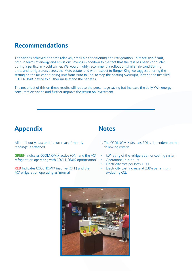## **Recommendations**

The savings achieved on these relatively small air-conditioning and refrigeration units are significant, both in terms of energy and emissions savings in addition to the fact that the test has been conducted during a particularly cold winter. We would highly recommend a rollout on similar air-conditioning units and refrigerators across the Moto estate, and with respect to Burger King we suggest altering the setting on the air-conditioning unit from Auto to Cool to stop the heating overnight, leaving the installed COOLNOMIX device to further understand the benefits.

The net effect of this on these results will reduce the percentage saving but increase the daily kWh energy consumption saving and further improve the return on investment.

## **Appendix Notes**

All half hourly data and its summary '4-hourly readings' is attached.

GREEN indicates COOLNOMIX active (ON) and the AC/ refrigeration operating with COOLNOMIX 'optimisation'

RED Indicates COOLNOMIX inactive (OFF) and the AC/refrigeration operating as 'normal'

- 1. The COOLNOMIX device's ROI is dependent on the following criteria:
- kW rating of the refrigeration or cooling system
- Operational run hours
- Electricity cost per kWh + CCL
- Electricity cost increase at 2.8% per annum excluding CCL